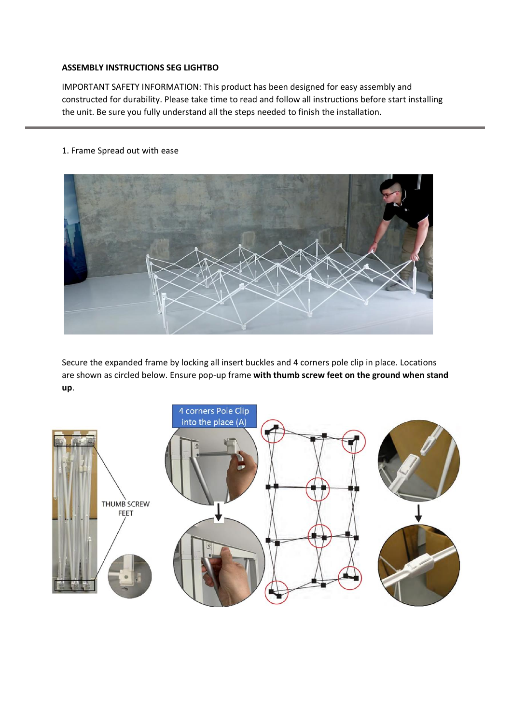## **ASSEMBLY INSTRUCTIONS SEG LIGHTBO**

IMPORTANT SAFETY INFORMATION: This product has been designed for easy assembly and constructed for durability. Please take time to read and follow all instructions before start installing the unit. Be sure you fully understand all the steps needed to finish the installation.

## 1. Frame Spread out with ease



Secure the expanded frame by locking all insert buckles and 4 corners pole clip in place. Locations are shown as circled below. Ensure pop-up frame **with thumb screw feet on the ground when stand up**.

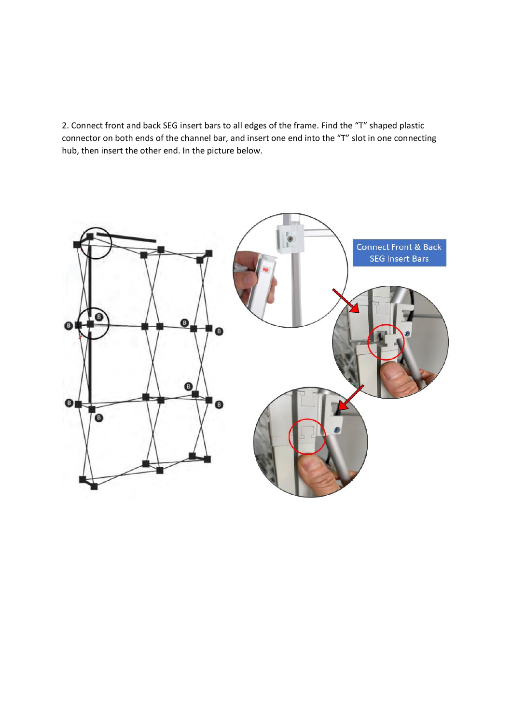2. Connect front and back SEG insert bars to all edges of the frame. Find the "T" shaped plastic connector on both ends of the channel bar, and insert one end into the "T" slot in one connecting hub, then insert the other end. In the picture below.

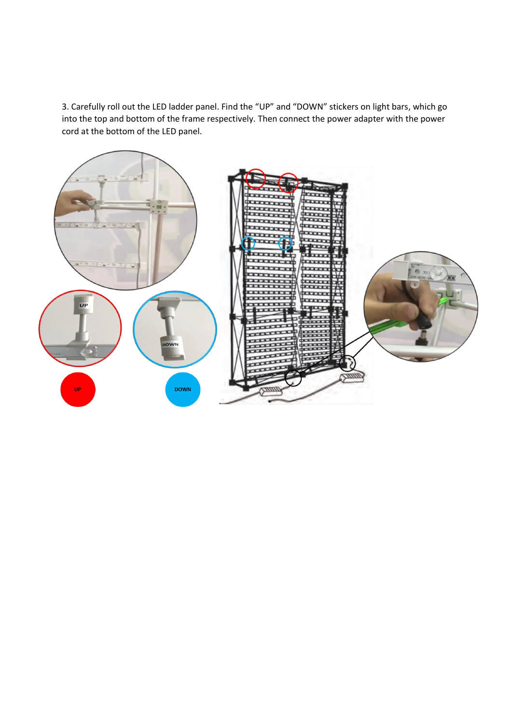3. Carefully roll out the LED ladder panel. Find the "UP" and "DOWN" stickers on light bars, which go into the top and bottom of the frame respectively. Then connect the power adapter with the power cord at the bottom of the LED panel.